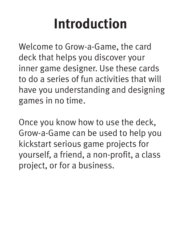### **Introduction**

Welcome to Grow-a-Game, the card deck that helps you discover your inner game designer. Use these cards to do a series of fun activities that will have you understanding and designing games in no time.

Once you know how to use the deck, Grow-a-Game can be used to help you kickstart serious game projects for yourself, a friend, a non-profit, a class project, or for a business.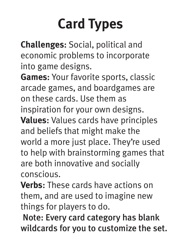## **Card Types**

**Challenges**: Social, political and economic problems to incorporate into game designs.

**Games**: Your favorite sports, classic arcade games, and boardgames are on these cards. Use them as inspiration for your own designs. **Values**: Values cards have principles and beliefs that might make the world a more just place. They're used to help with brainstorming games that are both innovative and socially conscious.

**Verbs**: These cards have actions on them, and are used to imagine new things for players to do.

 Note: Every card category has blank wildcards for you to customize the set.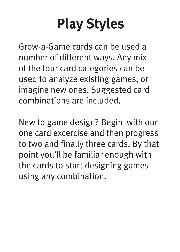# **Play Styles**

Grow-a-Game cards can be used a number of different ways. Any mix of the four card categories can be used to analyze existing games, or imagine new ones. Suggested card combinations are included.

New to game design? Begin with our one card excercise and then progress to two and finally three cards. By that point you'll be familiar enough with the cards to start designing games using any combination.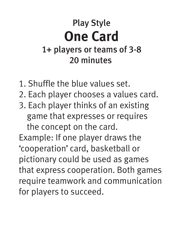#### Play Style **One Card** 1+ players or teams of 3-8 20 minutes

- 1. Shuffle the blue values set.
- 2. Each player chooses a values card.
- 3. Each player thinks of an existing game that expresses or requires the concept on the card.

Example: If one player draws the 'cooperation' card, basketball or pictionary could be used as games that express cooperation. Both games require teamwork and communication for players to succeed.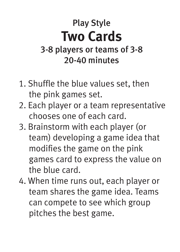#### Play Style **Two Cards** 3-8 players or teams of 3-8 20-40 minutes

- 1. Shuffle the blue values set, then the pink games set.
- 2. Each player or a team representative chooses one of each card.
- 3. Brainstorm with each player (or team) developing a game idea that modifies the game on the pink games card to express the value on the blue card.
- 4. When time runs out, each player or team shares the game idea. Teams can compete to see which group pitches the best game.